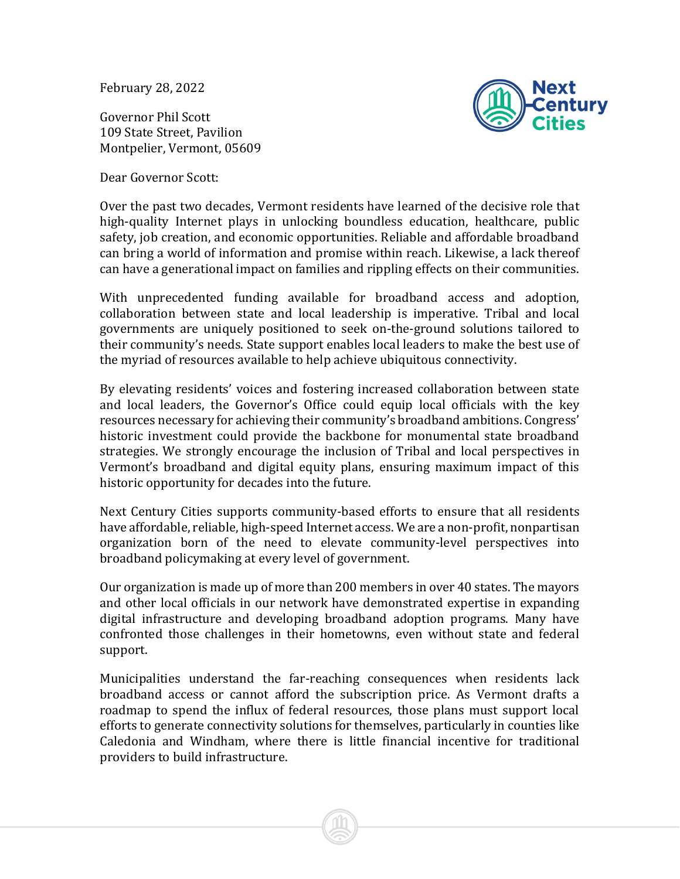February 28, 2022

Governor Phil Scott 109 State Street, Pavilion Montpelier, Vermont, 05609





Over the past two decades, Vermont residents have learned of the decisive role that high-quality Internet plays in unlocking boundless education, healthcare, public safety, job creation, and economic opportunities. Reliable and affordable broadband can bring a world of information and promise within reach. Likewise, a lack thereof can have a generational impact on families and rippling effects on their communities.

With unprecedented funding available for broadband access and adoption, collaboration between state and local leadership is imperative. Tribal and local governments are uniquely positioned to seek on-the-ground solutions tailored to their community's needs. State support enables local leaders to make the best use of the myriad of resources available to help achieve ubiquitous connectivity.

By elevating residents' voices and fostering increased collaboration between state and local leaders, the Governor's Office could equip local officials with the key resources necessary for achieving their community's broadband ambitions. Congress' historic investment could provide the backbone for monumental state broadband strategies. We strongly encourage the inclusion of Tribal and local perspectives in Vermont's broadband and digital equity plans, ensuring maximum impact of this historic opportunity for decades into the future.

Next Century Cities supports community-based efforts to ensure that all residents have affordable, reliable, high-speed Internet access. We are a non-profit, nonpartisan organization born of the need to elevate community-level perspectives into broadband policymaking at every level of government.

Our organization is made up of more than 200 members in over 40 states. The mayors and other local officials in our network have demonstrated expertise in expanding digital infrastructure and developing broadband adoption programs. Many have confronted those challenges in their hometowns, even without state and federal support.

Municipalities understand the far-reaching consequences when residents lack broadband access or cannot afford the subscription price. As Vermont drafts a roadmap to spend the influx of federal resources, those plans must support local efforts to generate connectivity solutions for themselves, particularly in counties like Caledonia and Windham, where there is little financial incentive for traditional providers to build infrastructure.